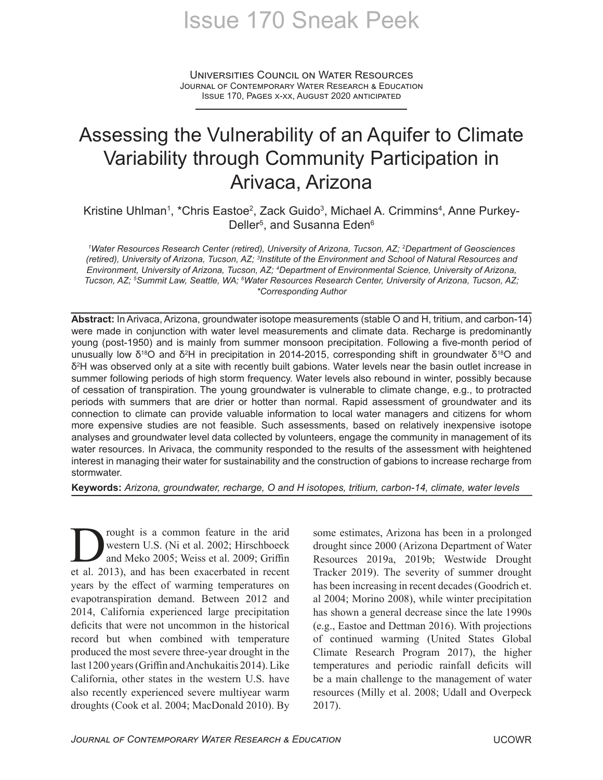Universities Council on Water Resources JOURNAL OF CONTEMPORARY WATER RESEARCH & EDUCATION Issue 170, Pages x-xx, August 2020 anticipated

## Assessing the Vulnerability of an Aquifer to Climate Variability through Community Participation in Arivaca, Arizona

Kristine Uhlman<sup>1</sup>, \*Chris Eastoe<sup>2</sup>, Zack Guido<sup>3</sup>, Michael A. Crimmins<sup>4</sup>, Anne Purkey-Deller<sup>5</sup>, and Susanna Eden<sup>6</sup>

*<sup>1</sup>Water Resources Research Center (retired), University of Arizona, Tucson, AZ; <sup>2</sup>Department of Geosciences (retired), University of Arizona, Tucson, AZ; <sup>3</sup> Institute of the Environment and School of Natural Resources and Environment, University of Arizona, Tucson, AZ; <sup>4</sup>Department of Environmental Science, University of Arizona, Tucson, AZ; <sup>5</sup>Summit Law, Seattle, WA; <sup>6</sup>Water Resources Research Center, University of Arizona, Tucson, AZ; \*Corresponding Author*

**Abstract:** In Arivaca, Arizona, groundwater isotope measurements (stable O and H, tritium, and carbon-14) were made in conjunction with water level measurements and climate data. Recharge is predominantly young (post-1950) and is mainly from summer monsoon precipitation. Following a five-month period of unusually low δ<sup>18</sup>O and δ<sup>2</sup>H in precipitation in 2014-2015, corresponding shift in groundwater δ<sup>18</sup>O and δ<sup>2</sup>H was observed only at a site with recently built gabions. Water levels near the basin outlet increase in summer following periods of high storm frequency. Water levels also rebound in winter, possibly because of cessation of transpiration. The young groundwater is vulnerable to climate change, e.g., to protracted periods with summers that are drier or hotter than normal. Rapid assessment of groundwater and its connection to climate can provide valuable information to local water managers and citizens for whom more expensive studies are not feasible. Such assessments, based on relatively inexpensive isotope analyses and groundwater level data collected by volunteers, engage the community in management of its water resources. In Arivaca, the community responded to the results of the assessment with heightened interest in managing their water for sustainability and the construction of gabions to increase recharge from stormwater.

**Keywords:** *Arizona, groundwater, recharge, O and H isotopes, tritium, carbon-14, climate, water levels*

Tought is a common feature in the arid western U.S. (Ni et al. 2002; Hirschboeck and Meko 2005; Weiss et al. 2009; Griffin et al. 2013), and has been exacerbated in recent rought is a common feature in the arid western U.S. (Ni et al. 2002; Hirschboeck and Meko 2005; Weiss et al. 2009; Griffin years by the effect of warming temperatures on evapotranspiration demand. Between 2012 and 2014, California experienced large precipitation deficits that were not uncommon in the historical record but when combined with temperature produced the most severe three-year drought in the last 1200 years (Griffin and Anchukaitis 2014). Like California, other states in the western U.S. have also recently experienced severe multiyear warm droughts (Cook et al. 2004; MacDonald 2010). By

some estimates, Arizona has been in a prolonged drought since 2000 (Arizona Department of Water Resources 2019a, 2019b; Westwide Drought Tracker 2019). The severity of summer drought has been increasing in recent decades (Goodrich et. al 2004; Morino 2008), while winter precipitation has shown a general decrease since the late 1990s (e.g., Eastoe and Dettman 2016). With projections of continued warming (United States Global Climate Research Program 2017), the higher temperatures and periodic rainfall deficits will be a main challenge to the management of water resources (Milly et al. 2008; Udall and Overpeck 2017).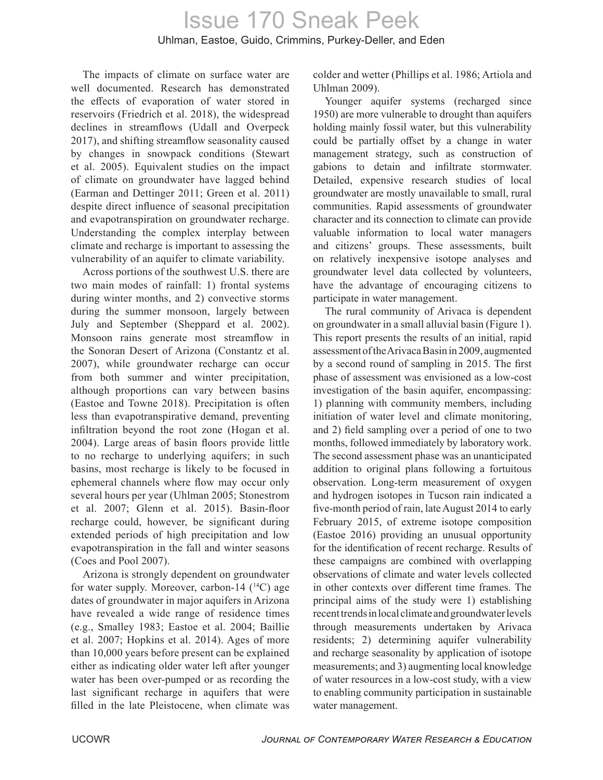The impacts of climate on surface water are well documented. Research has demonstrated the effects of evaporation of water stored in reservoirs (Friedrich et al. 2018), the widespread declines in streamflows (Udall and Overpeck 2017), and shifting streamflow seasonality caused by changes in snowpack conditions (Stewart et al. 2005). Equivalent studies on the impact of climate on groundwater have lagged behind (Earman and Dettinger 2011; Green et al. 2011) despite direct influence of seasonal precipitation and evapotranspiration on groundwater recharge. Understanding the complex interplay between climate and recharge is important to assessing the vulnerability of an aquifer to climate variability.

Across portions of the southwest U.S. there are two main modes of rainfall: 1) frontal systems during winter months, and 2) convective storms during the summer monsoon, largely between July and September (Sheppard et al. 2002). Monsoon rains generate most streamflow in the Sonoran Desert of Arizona (Constantz et al. 2007), while groundwater recharge can occur from both summer and winter precipitation, although proportions can vary between basins (Eastoe and Towne 2018). Precipitation is often less than evapotranspirative demand, preventing infiltration beyond the root zone (Hogan et al. 2004). Large areas of basin floors provide little to no recharge to underlying aquifers; in such basins, most recharge is likely to be focused in ephemeral channels where flow may occur only several hours per year (Uhlman 2005; Stonestrom et al. 2007; Glenn et al. 2015). Basin-floor recharge could, however, be significant during extended periods of high precipitation and low evapotranspiration in the fall and winter seasons (Coes and Pool 2007).

Arizona is strongly dependent on groundwater for water supply. Moreover, carbon-14  $(^{14}C)$  age dates of groundwater in major aquifers in Arizona have revealed a wide range of residence times (e.g., Smalley 1983; Eastoe et al. 2004; Baillie et al. 2007; Hopkins et al. 2014). Ages of more than 10,000 years before present can be explained either as indicating older water left after younger water has been over-pumped or as recording the last significant recharge in aquifers that were filled in the late Pleistocene, when climate was

colder and wetter (Phillips et al. 1986; Artiola and Uhlman 2009).

Younger aquifer systems (recharged since 1950) are more vulnerable to drought than aquifers holding mainly fossil water, but this vulnerability could be partially offset by a change in water management strategy, such as construction of gabions to detain and infiltrate stormwater. Detailed, expensive research studies of local groundwater are mostly unavailable to small, rural communities. Rapid assessments of groundwater character and its connection to climate can provide valuable information to local water managers and citizens' groups. These assessments, built on relatively inexpensive isotope analyses and groundwater level data collected by volunteers, have the advantage of encouraging citizens to participate in water management.

The rural community of Arivaca is dependent on groundwater in a small alluvial basin (Figure 1). This report presents the results of an initial, rapid assessment of the Arivaca Basin in 2009, augmented by a second round of sampling in 2015. The first phase of assessment was envisioned as a low-cost investigation of the basin aquifer, encompassing: 1) planning with community members, including initiation of water level and climate monitoring, and 2) field sampling over a period of one to two months, followed immediately by laboratory work. The second assessment phase was an unanticipated addition to original plans following a fortuitous observation. Long-term measurement of oxygen and hydrogen isotopes in Tucson rain indicated a five-month period of rain, late August 2014 to early February 2015, of extreme isotope composition (Eastoe 2016) providing an unusual opportunity for the identification of recent recharge. Results of these campaigns are combined with overlapping observations of climate and water levels collected in other contexts over different time frames. The principal aims of the study were 1) establishing recent trends in local climate and groundwater levels through measurements undertaken by Arivaca residents; 2) determining aquifer vulnerability and recharge seasonality by application of isotope measurements; and 3) augmenting local knowledge of water resources in a low-cost study, with a view to enabling community participation in sustainable water management.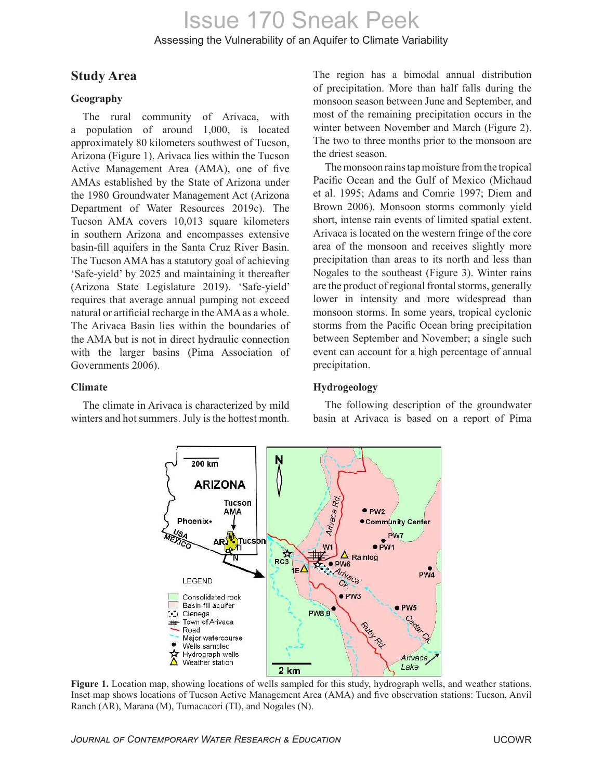### Assessing the Vulnerability of an Aquifer to Climate Variability Issue 170 Sneak Peek

### **Study Area**

### **Geography**

The rural community of Arivaca, with a population of around 1,000, is located approximately 80 kilometers southwest of Tucson, Arizona (Figure 1). Arivaca lies within the Tucson Active Management Area (AMA), one of five AMAs established by the State of Arizona under the 1980 Groundwater Management Act (Arizona Department of Water Resources 2019c). The Tucson AMA covers 10,013 square kilometers in southern Arizona and encompasses extensive basin-fill aquifers in the Santa Cruz River Basin. The Tucson AMA has a statutory goal of achieving 'Safe-yield' by 2025 and maintaining it thereafter (Arizona State Legislature 2019). 'Safe-yield' requires that average annual pumping not exceed natural or artificial recharge in the AMA as a whole. The Arivaca Basin lies within the boundaries of the AMA but is not in direct hydraulic connection with the larger basins (Pima Association of Governments 2006).

The region has a bimodal annual distribution of precipitation. More than half falls during the monsoon season between June and September, and most of the remaining precipitation occurs in the winter between November and March (Figure 2). The two to three months prior to the monsoon are the driest season.

The monsoon rains tap moisture from the tropical Pacific Ocean and the Gulf of Mexico (Michaud et al. 1995; Adams and Comrie 1997; Diem and Brown 2006). Monsoon storms commonly yield short, intense rain events of limited spatial extent. Arivaca is located on the western fringe of the core area of the monsoon and receives slightly more precipitation than areas to its north and less than Nogales to the southeast (Figure 3). Winter rains are the product of regional frontal storms, generally lower in intensity and more widespread than monsoon storms. In some years, tropical cyclonic storms from the Pacific Ocean bring precipitation between September and November; a single such event can account for a high percentage of annual precipitation.

### **Climate**

The climate in Arivaca is characterized by mild winters and hot summers. July is the hottest month.

### **Hydrogeology**

The following description of the groundwater basin at Arivaca is based on a report of Pima



**Figure 1.** Location map, showing locations of wells sampled for this study, hydrograph wells, and weather stations. Inset map shows locations of Tucson Active Management Area (AMA) and five observation stations: Tucson, Anvil Ranch (AR), Marana (M), Tumacacori (TI), and Nogales (N).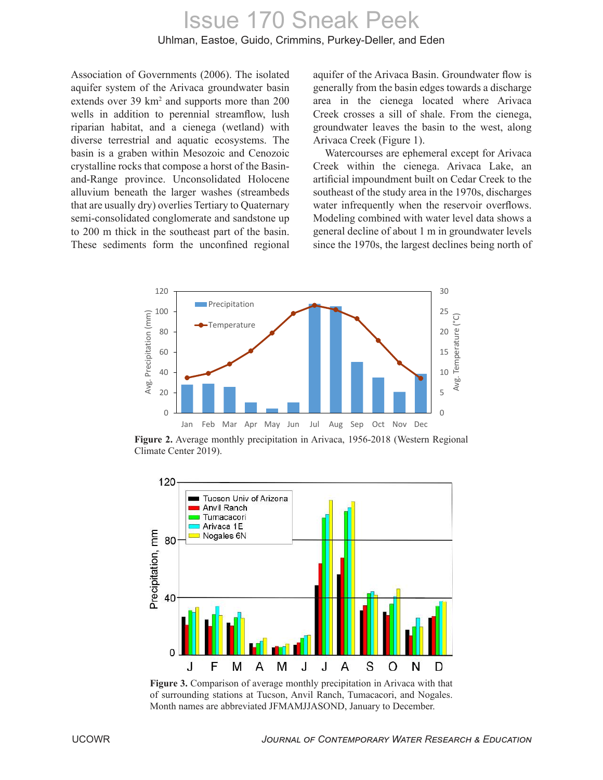Association of Governments (2006). The isolated aquifer system of the Arivaca groundwater basin extends over 39 km<sup>2</sup> and supports more than 200 wells in addition to perennial streamflow, lush riparian habitat, and a cienega (wetland) with diverse terrestrial and aquatic ecosystems. The basin is a graben within Mesozoic and Cenozoic crystalline rocks that compose a horst of the Basinand-Range province. Unconsolidated Holocene alluvium beneath the larger washes (streambeds that are usually dry) overlies Tertiary to Quaternary semi-consolidated conglomerate and sandstone up to 200 m thick in the southeast part of the basin. These sediments form the unconfined regional

aquifer of the Arivaca Basin. Groundwater flow is generally from the basin edges towards a discharge area in the cienega located where Arivaca Creek crosses a sill of shale. From the cienega, groundwater leaves the basin to the west, along Arivaca Creek (Figure 1).

Watercourses are ephemeral except for Arivaca Creek within the cienega. Arivaca Lake, an artificial impoundment built on Cedar Creek to the southeast of the study area in the 1970s, discharges water infrequently when the reservoir overflows. Modeling combined with water level data shows a general decline of about 1 m in groundwater levels since the 1970s, the largest declines being north of



**Figure 2.** Average monthly precipitation in Arivaca, 1956-2018 (Western Regional Climate Center 2019).



**Figure 3.** Comparison of average monthly precipitation in Arivaca with that of surrounding stations at Tucson, Anvil Ranch, Tumacacori, and Nogales. Month names are abbreviated JFMAMJJASOND, January to December.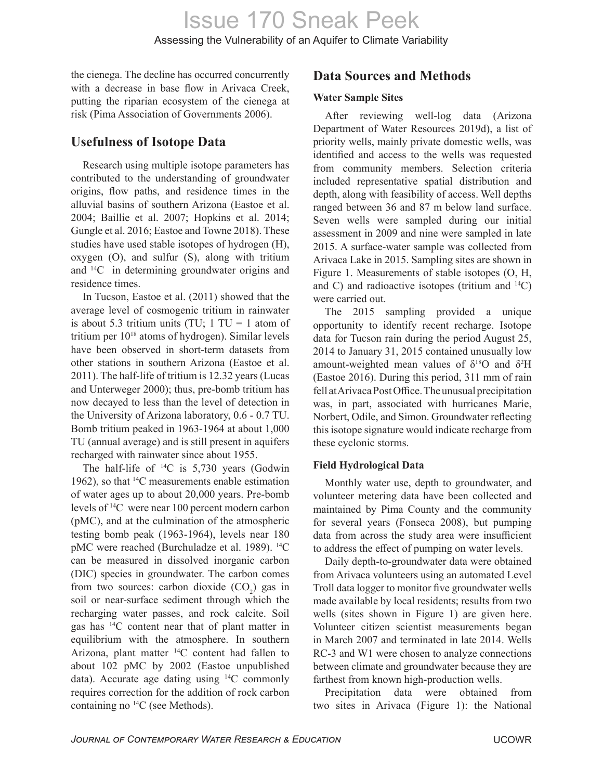the cienega. The decline has occurred concurrently with a decrease in base flow in Arivaca Creek, putting the riparian ecosystem of the cienega at risk (Pima Association of Governments 2006).

### **Usefulness of Isotope Data**

Research using multiple isotope parameters has contributed to the understanding of groundwater origins, flow paths, and residence times in the alluvial basins of southern Arizona (Eastoe et al. 2004; Baillie et al. 2007; Hopkins et al. 2014; Gungle et al. 2016; Eastoe and Towne 2018). These studies have used stable isotopes of hydrogen (H), oxygen (O), and sulfur (S), along with tritium and <sup>14</sup>C in determining groundwater origins and residence times.

In Tucson, Eastoe et al. (2011) showed that the average level of cosmogenic tritium in rainwater is about 5.3 tritium units (TU;  $1 \text{ TU} = 1$  atom of tritium per 10<sup>18</sup> atoms of hydrogen). Similar levels have been observed in short-term datasets from other stations in southern Arizona (Eastoe et al. 2011). The half-life of tritium is 12.32 years (Lucas and Unterweger 2000); thus, pre-bomb tritium has now decayed to less than the level of detection in the University of Arizona laboratory, 0.6 - 0.7 TU. Bomb tritium peaked in 1963-1964 at about 1,000 TU (annual average) and is still present in aquifers recharged with rainwater since about 1955.

The half-life of <sup>14</sup>C is 5,730 years (Godwin 1962), so that  $^{14}$ C measurements enable estimation of water ages up to about 20,000 years. Pre-bomb levels of <sup>14</sup>C were near 100 percent modern carbon (pMC), and at the culmination of the atmospheric testing bomb peak (1963-1964), levels near 180 pMC were reached (Burchuladze et al. 1989). <sup>14</sup>C can be measured in dissolved inorganic carbon (DIC) species in groundwater. The carbon comes from two sources: carbon dioxide  $(CO_2)$  gas in soil or near-surface sediment through which the recharging water passes, and rock calcite. Soil gas has <sup>14</sup>C content near that of plant matter in equilibrium with the atmosphere. In southern Arizona, plant matter <sup>14</sup>C content had fallen to about 102 pMC by 2002 (Eastoe unpublished data). Accurate age dating using  $^{14}C$  commonly requires correction for the addition of rock carbon containing no <sup>14</sup>C (see Methods).

### **Data Sources and Methods**

### **Water Sample Sites**

After reviewing well-log data (Arizona Department of Water Resources 2019d), a list of priority wells, mainly private domestic wells, was identified and access to the wells was requested from community members. Selection criteria included representative spatial distribution and depth, along with feasibility of access. Well depths ranged between 36 and 87 m below land surface. Seven wells were sampled during our initial assessment in 2009 and nine were sampled in late 2015. A surface-water sample was collected from Arivaca Lake in 2015. Sampling sites are shown in Figure 1. Measurements of stable isotopes (O, H, and C) and radioactive isotopes (tritium and  $^{14}$ C) were carried out.

The 2015 sampling provided a unique opportunity to identify recent recharge. Isotope data for Tucson rain during the period August 25, 2014 to January 31, 2015 contained unusually low amount-weighted mean values of  $\delta^{18}O$  and  $\delta^2H$ (Eastoe 2016). During this period, 311 mm of rain fell at Arivaca Post Office. The unusual precipitation was, in part, associated with hurricanes Marie, Norbert, Odile, and Simon. Groundwater reflecting this isotope signature would indicate recharge from these cyclonic storms.

### **Field Hydrological Data**

Monthly water use, depth to groundwater, and volunteer metering data have been collected and maintained by Pima County and the community for several years (Fonseca 2008), but pumping data from across the study area were insufficient to address the effect of pumping on water levels.

Daily depth-to-groundwater data were obtained from Arivaca volunteers using an automated Level Troll data logger to monitor five groundwater wells made available by local residents; results from two wells (sites shown in Figure 1) are given here. Volunteer citizen scientist measurements began in March 2007 and terminated in late 2014. Wells RC-3 and W1 were chosen to analyze connections between climate and groundwater because they are farthest from known high-production wells.

Precipitation data were obtained from two sites in Arivaca (Figure 1): the National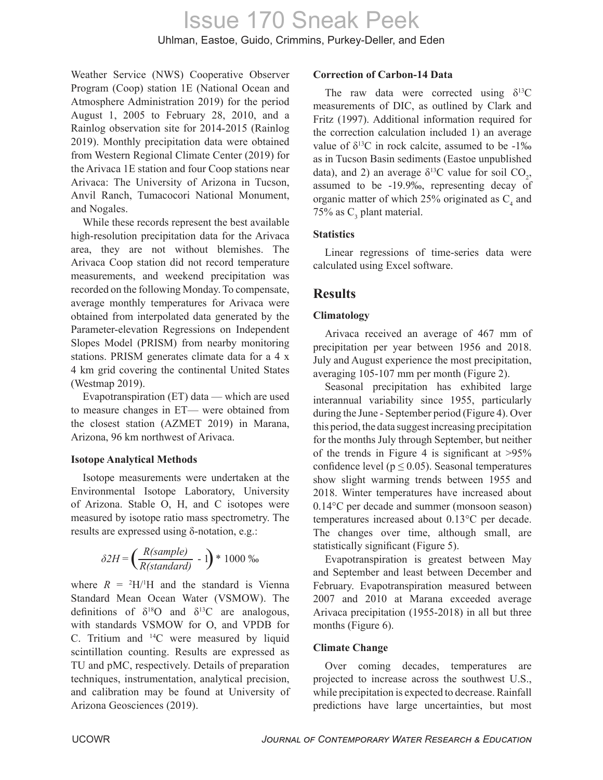Weather Service (NWS) Cooperative Observer Program (Coop) station 1E (National Ocean and Atmosphere Administration 2019) for the period August 1, 2005 to February 28, 2010, and a Rainlog observation site for 2014-2015 (Rainlog 2019). Monthly precipitation data were obtained from Western Regional Climate Center (2019) for the Arivaca 1E station and four Coop stations near Arivaca: The University of Arizona in Tucson, Anvil Ranch, Tumacocori National Monument, and Nogales.

While these records represent the best available high-resolution precipitation data for the Arivaca area, they are not without blemishes. The Arivaca Coop station did not record temperature measurements, and weekend precipitation was recorded on the following Monday. To compensate, average monthly temperatures for Arivaca were obtained from interpolated data generated by the Parameter-elevation Regressions on Independent Slopes Model (PRISM) from nearby monitoring stations. PRISM generates climate data for a 4 x 4 km grid covering the continental United States (Westmap 2019).

Evapotranspiration (ET) data — which are used to measure changes in ET— were obtained from the closest station (AZMET 2019) in Marana, Arizona, 96 km northwest of Arivaca.

### **Isotope Analytical Methods**

Isotope measurements were undertaken at the Environmental Isotope Laboratory, University of Arizona. Stable O, H, and C isotopes were measured by isotope ratio mass spectrometry. The results are expressed using δ-notation, e.g.:

$$
\delta 2H = \left(\frac{R(sample)}{R(standra}) - 1\right) * 1000 %
$$

where  $R = {}^{2}H/{}^{1}H$  and the standard is Vienna Standard Mean Ocean Water (VSMOW). The definitions of  $\delta^{18}O$  and  $\delta^{13}C$  are analogous, with standards VSMOW for O, and VPDB for C. Tritium and <sup>14</sup>C were measured by liquid scintillation counting. Results are expressed as TU and pMC, respectively. Details of preparation techniques, instrumentation, analytical precision, and calibration may be found at University of Arizona Geosciences (2019).

#### **Correction of Carbon-14 Data**

The raw data were corrected using  $\delta^{13}$ C measurements of DIC, as outlined by Clark and Fritz (1997). Additional information required for the correction calculation included 1) an average value of  $\delta^{13}$ C in rock calcite, assumed to be -1% as in Tucson Basin sediments (Eastoe unpublished data), and 2) an average  $\delta^{13}$ C value for soil CO<sub>2</sub>, assumed to be -19.9‰, representing decay of organic matter of which 25% originated as  $C_4$  and 75% as  $C_3$  plant material.

### **Statistics**

Linear regressions of time-series data were calculated using Excel software.

### **Results**

### **Climatology**

Arivaca received an average of 467 mm of precipitation per year between 1956 and 2018. July and August experience the most precipitation, averaging 105-107 mm per month (Figure 2).

Seasonal precipitation has exhibited large interannual variability since 1955, particularly during the June - September period (Figure 4). Over this period, the data suggest increasing precipitation for the months July through September, but neither of the trends in Figure 4 is significant at  $>95\%$ confidence level ( $p \le 0.05$ ). Seasonal temperatures show slight warming trends between 1955 and 2018. Winter temperatures have increased about 0.14°C per decade and summer (monsoon season) temperatures increased about 0.13°C per decade. The changes over time, although small, are statistically significant (Figure 5).

Evapotranspiration is greatest between May and September and least between December and February. Evapotranspiration measured between 2007 and 2010 at Marana exceeded average Arivaca precipitation (1955-2018) in all but three months (Figure 6).

### **Climate Change**

Over coming decades, temperatures are projected to increase across the southwest U.S., while precipitation is expected to decrease. Rainfall predictions have large uncertainties, but most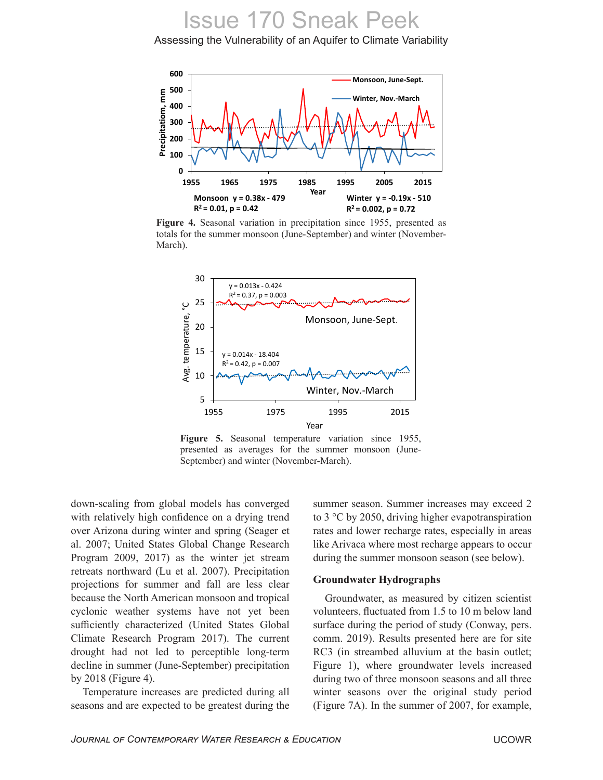Assessing the Vulnerability of an Aquifer to Climate Variability



**Figure 4.** Seasonal variation in precipitation since 1955, presented as totals for the summer monsoon (June-September) and winter (November-March).



**Figure 5.** Seasonal temperature variation since 1955, presented as averages for the summer monsoon (June-September) and winter (November-March).

down-scaling from global models has converged with relatively high confidence on a drying trend over Arizona during winter and spring (Seager et al. 2007; United States Global Change Research Program 2009, 2017) as the winter jet stream retreats northward (Lu et al. 2007). Precipitation projections for summer and fall are less clear because the North American monsoon and tropical cyclonic weather systems have not yet been sufficiently characterized (United States Global Climate Research Program 2017). The current drought had not led to perceptible long-term decline in summer (June-September) precipitation by 2018 (Figure 4).

Temperature increases are predicted during all seasons and are expected to be greatest during the summer season. Summer increases may exceed 2 to 3 °C by 2050, driving higher evapotranspiration rates and lower recharge rates, especially in areas like Arivaca where most recharge appears to occur during the summer monsoon season (see below).

#### **Groundwater Hydrographs**

Groundwater, as measured by citizen scientist volunteers, fluctuated from 1.5 to 10 m below land surface during the period of study (Conway, pers. comm. 2019). Results presented here are for site RC3 (in streambed alluvium at the basin outlet; Figure 1), where groundwater levels increased during two of three monsoon seasons and all three winter seasons over the original study period (Figure 7A). In the summer of 2007, for example,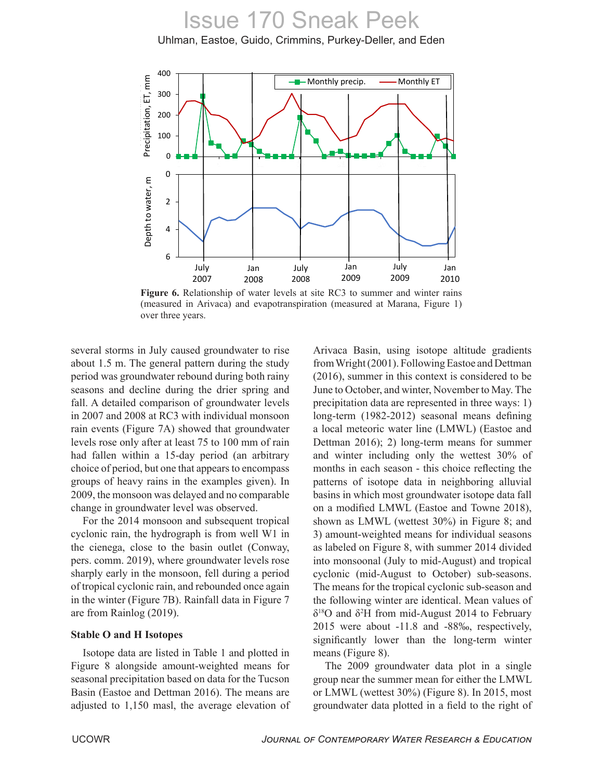Uhlman, Eastoe, Guido, Crimmins, Purkey-Deller, and Eden



**Figure 6.** Relationship of water levels at site RC3 to summer and winter rains (measured in Arivaca) and evapotranspiration (measured at Marana, Figure 1) over three years.

several storms in July caused groundwater to rise about 1.5 m. The general pattern during the study period was groundwater rebound during both rainy seasons and decline during the drier spring and fall. A detailed comparison of groundwater levels in 2007 and 2008 at RC3 with individual monsoon rain events (Figure 7A) showed that groundwater levels rose only after at least 75 to 100 mm of rain had fallen within a 15-day period (an arbitrary choice of period, but one that appears to encompass groups of heavy rains in the examples given). In 2009, the monsoon was delayed and no comparable change in groundwater level was observed.

For the 2014 monsoon and subsequent tropical cyclonic rain, the hydrograph is from well W1 in the cienega, close to the basin outlet (Conway, pers. comm. 2019), where groundwater levels rose sharply early in the monsoon, fell during a period of tropical cyclonic rain, and rebounded once again in the winter (Figure 7B). Rainfall data in Figure 7 are from Rainlog (2019).

#### **Stable O and H Isotopes**

Isotope data are listed in Table 1 and plotted in Figure 8 alongside amount-weighted means for seasonal precipitation based on data for the Tucson Basin (Eastoe and Dettman 2016). The means are adjusted to 1,150 masl, the average elevation of

Arivaca Basin, using isotope altitude gradients from Wright (2001). Following Eastoe and Dettman (2016), summer in this context is considered to be June to October, and winter, November to May. The precipitation data are represented in three ways: 1) long-term (1982-2012) seasonal means defining a local meteoric water line (LMWL) (Eastoe and Dettman 2016); 2) long-term means for summer and winter including only the wettest 30% of months in each season - this choice reflecting the patterns of isotope data in neighboring alluvial basins in which most groundwater isotope data fall on a modified LMWL (Eastoe and Towne 2018), shown as LMWL (wettest 30%) in Figure 8; and 3) amount-weighted means for individual seasons as labeled on Figure 8, with summer 2014 divided into monsoonal (July to mid-August) and tropical cyclonic (mid-August to October) sub-seasons. The means for the tropical cyclonic sub-season and the following winter are identical. Mean values of  $\delta^{18}$ O and  $\delta^2$ H from mid-August 2014 to February 2015 were about -11.8 and -88‰, respectively, significantly lower than the long-term winter means (Figure 8).

The 2009 groundwater data plot in a single group near the summer mean for either the LMWL or LMWL (wettest 30%) (Figure 8). In 2015, most groundwater data plotted in a field to the right of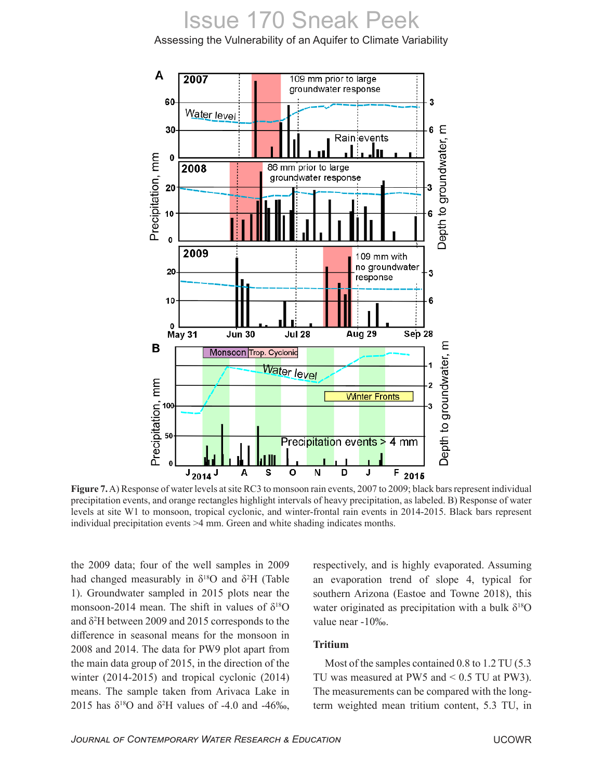Assessing the Vulnerability of an Aquifer to Climate Variability



**Figure 7.** A) Response of water levels at site RC3 to monsoon rain events, 2007 to 2009; black bars represent individual precipitation events, and orange rectangles highlight intervals of heavy precipitation, as labeled. B) Response of water levels at site W1 to monsoon, tropical cyclonic, and winter-frontal rain events in 2014-2015. Black bars represent individual precipitation events >4 mm. Green and white shading indicates months.

the 2009 data; four of the well samples in 2009 had changed measurably in  $\delta^{18}O$  and  $\delta^{2}H$  (Table 1). Groundwater sampled in 2015 plots near the monsoon-2014 mean. The shift in values of  $\delta^{18}O$ and  $\delta^2$ H between 2009 and 2015 corresponds to the difference in seasonal means for the monsoon in 2008 and 2014. The data for PW9 plot apart from the main data group of 2015, in the direction of the winter (2014-2015) and tropical cyclonic (2014) means. The sample taken from Arivaca Lake in 2015 has  $\delta^{18}$ O and  $\delta^{2}$ H values of -4.0 and -46‰,

respectively, and is highly evaporated. Assuming an evaporation trend of slope 4, typical for southern Arizona (Eastoe and Towne 2018), this water originated as precipitation with a bulk  $\delta^{18}O$ value near -10‰.

### **Tritium**

Most of the samples contained 0.8 to 1.2 TU (5.3 TU was measured at PW5 and < 0.5 TU at PW3). The measurements can be compared with the longterm weighted mean tritium content, 5.3 TU, in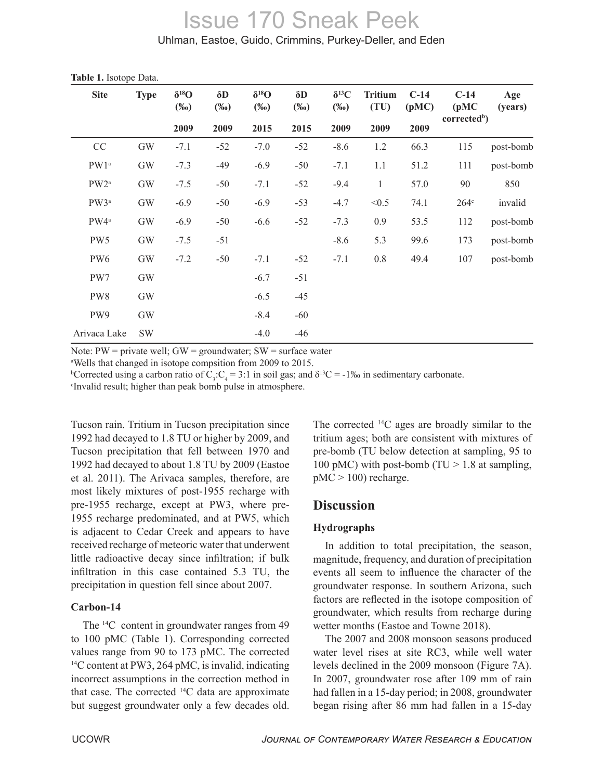| $\cdots$<br><b>Site</b> | <b>Type</b>   | $\delta^{18}O$<br>$(\%0)$ | $\delta D$<br>$(\%0)$ | $\delta^{18}O$<br>$(\%0)$ | $\delta D$<br>$(\%0)$ | $\delta^{13}C$<br>$(\%0)$ | <b>Tritium</b><br>(TU) | $C-14$<br>(pMC) | $C-14$<br>(pMC)          | Age<br>(years) |
|-------------------------|---------------|---------------------------|-----------------------|---------------------------|-----------------------|---------------------------|------------------------|-----------------|--------------------------|----------------|
|                         |               | 2009                      | 2009                  | 2015                      | 2015                  | 2009                      | 2009                   | 2009            | corrected <sup>b</sup> ) |                |
| CC                      | <b>GW</b>     | $-7.1$                    | $-52$                 | $-7.0$                    | $-52$                 | $-8.6$                    | 1.2                    | 66.3            | 115                      | post-bomb      |
| PW1 <sup>a</sup>        | $\mathrm{GW}$ | $-7.3$                    | $-49$                 | $-6.9$                    | $-50$                 | $-7.1$                    | 1.1                    | 51.2            | 111                      | post-bomb      |
| $PW2^a$                 | <b>GW</b>     | $-7.5$                    | $-50$                 | $-7.1$                    | $-52$                 | $-9.4$                    | $\mathbf{1}$           | 57.0            | 90                       | 850            |
| PW3 <sup>a</sup>        | $\mathrm{GW}$ | $-6.9$                    | $-50$                 | $-6.9$                    | $-53$                 | $-4.7$                    | < 0.5                  | 74.1            | $264^\circ$              | invalid        |
| PW4 <sup>a</sup>        | $\mathrm{GW}$ | $-6.9$                    | $-50$                 | $-6.6$                    | $-52$                 | $-7.3$                    | 0.9                    | 53.5            | 112                      | post-bomb      |
| PW <sub>5</sub>         | <b>GW</b>     | $-7.5$                    | $-51$                 |                           |                       | $-8.6$                    | 5.3                    | 99.6            | 173                      | post-bomb      |
| PW <sub>6</sub>         | $\mathrm{GW}$ | $-7.2$                    | $-50$                 | $-7.1$                    | $-52$                 | $-7.1$                    | 0.8                    | 49.4            | 107                      | post-bomb      |
| PW7                     | $\mathrm{GW}$ |                           |                       | $-6.7$                    | $-51$                 |                           |                        |                 |                          |                |
| PW8                     | $\mathrm{GW}$ |                           |                       | $-6.5$                    | $-45$                 |                           |                        |                 |                          |                |
| PW <sub>9</sub>         | <b>GW</b>     |                           |                       | $-8.4$                    | $-60$                 |                           |                        |                 |                          |                |
| Arivaca Lake            | SW            |                           |                       | $-4.0$                    | $-46$                 |                           |                        |                 |                          |                |

**Table 1.** Isotope Data.

Note: PW = private well; GW = groundwater; SW = surface water

<sup>a</sup>Wells that changed in isotope compsition from 2009 to 2015.

<sup>b</sup>Corrected using a carbon ratio of C<sub>3</sub>:C<sub>4</sub> = 3:1 in soil gas; and  $\delta^{13}$ C = -1‰ in sedimentary carbonate.

c Invalid result; higher than peak bomb pulse in atmosphere.

Tucson rain. Tritium in Tucson precipitation since 1992 had decayed to 1.8 TU or higher by 2009, and Tucson precipitation that fell between 1970 and 1992 had decayed to about 1.8 TU by 2009 (Eastoe et al. 2011). The Arivaca samples, therefore, are most likely mixtures of post-1955 recharge with pre-1955 recharge, except at PW3, where pre-1955 recharge predominated, and at PW5, which is adjacent to Cedar Creek and appears to have received recharge of meteoric water that underwent little radioactive decay since infiltration; if bulk infiltration in this case contained 5.3 TU, the precipitation in question fell since about 2007.

#### **Carbon-14**

The <sup>14</sup>C content in groundwater ranges from 49 to 100 pMC (Table 1). Corresponding corrected values range from 90 to 173 pMC. The corrected <sup>14</sup>C content at PW3, 264 pMC, is invalid, indicating incorrect assumptions in the correction method in that case. The corrected <sup>14</sup>C data are approximate but suggest groundwater only a few decades old.

The corrected  $^{14}C$  ages are broadly similar to the tritium ages; both are consistent with mixtures of pre-bomb (TU below detection at sampling, 95 to 100 pMC) with post-bomb ( $TU > 1.8$  at sampling,  $pMC > 100$  recharge.

### **Discussion**

### **Hydrographs**

In addition to total precipitation, the season, magnitude, frequency, and duration of precipitation events all seem to influence the character of the groundwater response. In southern Arizona, such factors are reflected in the isotope composition of groundwater, which results from recharge during wetter months (Eastoe and Towne 2018).

The 2007 and 2008 monsoon seasons produced water level rises at site RC3, while well water levels declined in the 2009 monsoon (Figure 7A). In 2007, groundwater rose after 109 mm of rain had fallen in a 15-day period; in 2008, groundwater began rising after 86 mm had fallen in a 15-day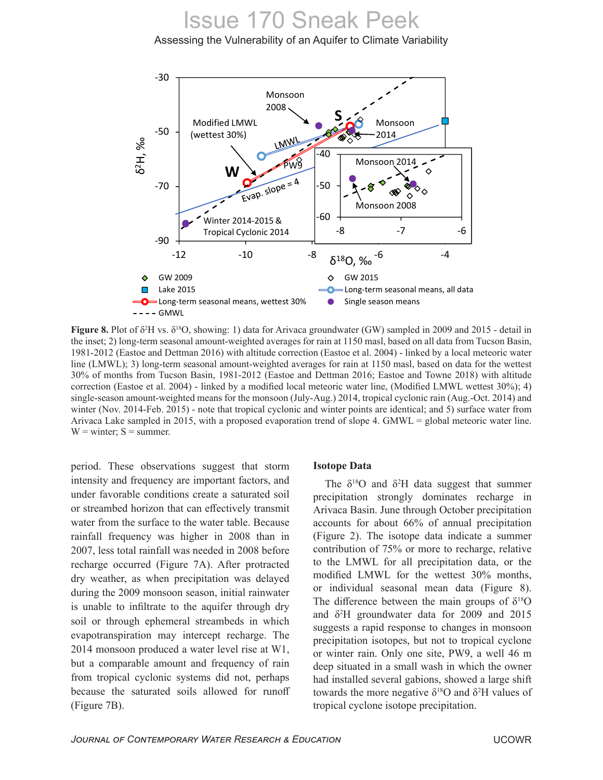### Assessing the Vulnerability of an Aquifer to Climate Variability



**Figure 8.** Plot of  $\delta^2$ H vs.  $\delta^{18}$ O, showing: 1) data for Arivaca groundwater (GW) sampled in 2009 and 2015 - detail in the inset; 2) long-term seasonal amount-weighted averages for rain at 1150 masl, based on all data from Tucson Basin, 1981-2012 (Eastoe and Dettman 2016) with altitude correction (Eastoe et al. 2004) - linked by a local meteoric water line (LMWL); 3) long-term seasonal amount-weighted averages for rain at 1150 masl, based on data for the wettest 30% of months from Tucson Basin, 1981-2012 (Eastoe and Dettman 2016; Eastoe and Towne 2018) with altitude correction (Eastoe et al. 2004) - linked by a modified local meteoric water line, (Modified LMWL wettest 30%); 4) single-season amount-weighted means for the monsoon (July-Aug.) 2014, tropical cyclonic rain (Aug.-Oct. 2014) and winter (Nov. 2014-Feb. 2015) - note that tropical cyclonic and winter points are identical; and 5) surface water from Arivaca Lake sampled in 2015, with a proposed evaporation trend of slope 4. GMWL = global meteoric water line.  $W =$  winter;  $S =$  summer.

period. These observations suggest that storm intensity and frequency are important factors, and under favorable conditions create a saturated soil or streambed horizon that can effectively transmit water from the surface to the water table. Because rainfall frequency was higher in 2008 than in 2007, less total rainfall was needed in 2008 before recharge occurred (Figure 7A). After protracted dry weather, as when precipitation was delayed during the 2009 monsoon season, initial rainwater is unable to infiltrate to the aquifer through dry soil or through ephemeral streambeds in which evapotranspiration may intercept recharge. The 2014 monsoon produced a water level rise at W1, but a comparable amount and frequency of rain from tropical cyclonic systems did not, perhaps because the saturated soils allowed for runoff (Figure 7B).

#### **Isotope Data**

The  $\delta^{18}$ O and  $\delta^{2}$ H data suggest that summer precipitation strongly dominates recharge in Arivaca Basin. June through October precipitation accounts for about 66% of annual precipitation (Figure 2). The isotope data indicate a summer contribution of 75% or more to recharge, relative to the LMWL for all precipitation data, or the modified LMWL for the wettest 30% months, or individual seasonal mean data (Figure 8). The difference between the main groups of  $\delta^{18}O$ and  $\delta^2$ H groundwater data for 2009 and 2015 suggests a rapid response to changes in monsoon precipitation isotopes, but not to tropical cyclone or winter rain. Only one site, PW9, a well 46 m deep situated in a small wash in which the owner had installed several gabions, showed a large shift towards the more negative  $\delta^{18}$ O and  $\delta^2$ H values of tropical cyclone isotope precipitation.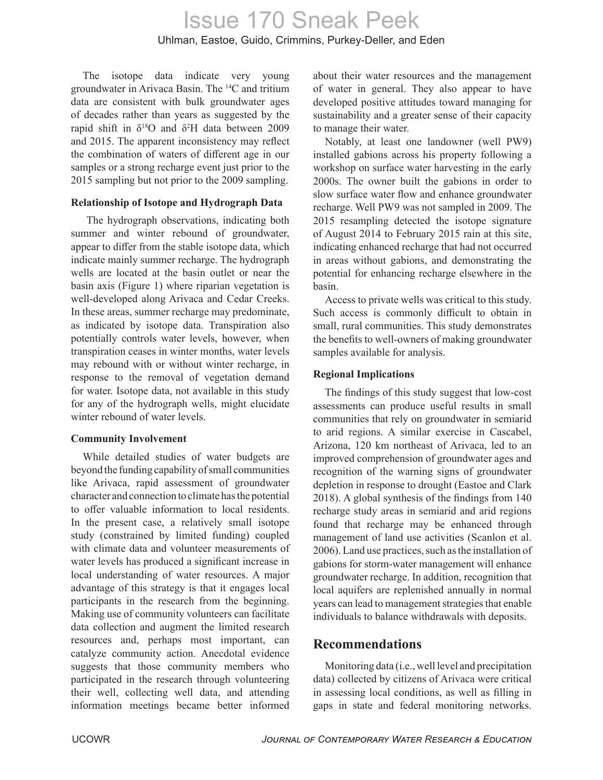The isotope data indicate very young groundwater in Arivaca Basin. The <sup>14</sup>C and tritium data are consistent with bulk groundwater ages of decades rather than years as suggested by the rapid shift in  $\delta^{18}$ O and  $\delta^{2}$ H data between 2009 and 2015. The apparent inconsistency may reflect the combination of waters of different age in our samples or a strong recharge event just prior to the 2015 sampling but not prior to the 2009 sampling.

#### **Relationship of Isotope and Hydrograph Data**

 The hydrograph observations, indicating both summer and winter rebound of groundwater, appear to differ from the stable isotope data, which indicate mainly summer recharge. The hydrograph wells are located at the basin outlet or near the basin axis (Figure 1) where riparian vegetation is well-developed along Arivaca and Cedar Creeks. In these areas, summer recharge may predominate, as indicated by isotope data. Transpiration also potentially controls water levels, however, when transpiration ceases in winter months, water levels may rebound with or without winter recharge, in response to the removal of vegetation demand for water. Isotope data, not available in this study for any of the hydrograph wells, might elucidate winter rebound of water levels.

### **Community Involvement**

While detailed studies of water budgets are beyond the funding capability of small communities like Arivaca, rapid assessment of groundwater character and connection to climate has the potential to offer valuable information to local residents. In the present case, a relatively small isotope study (constrained by limited funding) coupled with climate data and volunteer measurements of water levels has produced a significant increase in local understanding of water resources. A major advantage of this strategy is that it engages local participants in the research from the beginning. Making use of community volunteers can facilitate data collection and augment the limited research resources and, perhaps most important, can catalyze community action. Anecdotal evidence suggests that those community members who participated in the research through volunteering their well, collecting well data, and attending information meetings became better informed

about their water resources and the management of water in general. They also appear to have developed positive attitudes toward managing for sustainability and a greater sense of their capacity to manage their water.

Notably, at least one landowner (well PW9) installed gabions across his property following a workshop on surface water harvesting in the early 2000s. The owner built the gabions in order to slow surface water flow and enhance groundwater recharge. Well PW9 was not sampled in 2009. The 2015 resampling detected the isotope signature of August 2014 to February 2015 rain at this site, indicating enhanced recharge that had not occurred in areas without gabions, and demonstrating the potential for enhancing recharge elsewhere in the basin.

Access to private wells was critical to this study. Such access is commonly difficult to obtain in small, rural communities. This study demonstrates the benefits to well-owners of making groundwater samples available for analysis.

### **Regional Implications**

The findings of this study suggest that low-cost assessments can produce useful results in small communities that rely on groundwater in semiarid to arid regions. A similar exercise in Cascabel, Arizona, 120 km northeast of Arivaca, led to an improved comprehension of groundwater ages and recognition of the warning signs of groundwater depletion in response to drought (Eastoe and Clark 2018). A global synthesis of the findings from 140 recharge study areas in semiarid and arid regions found that recharge may be enhanced through management of land use activities (Scanlon et al. 2006). Land use practices, such as the installation of gabions for storm-water management will enhance groundwater recharge. In addition, recognition that local aquifers are replenished annually in normal years can lead to management strategies that enable individuals to balance withdrawals with deposits.

### **Recommendations**

Monitoring data (i.e., well level and precipitation data) collected by citizens of Arivaca were critical in assessing local conditions, as well as filling in gaps in state and federal monitoring networks.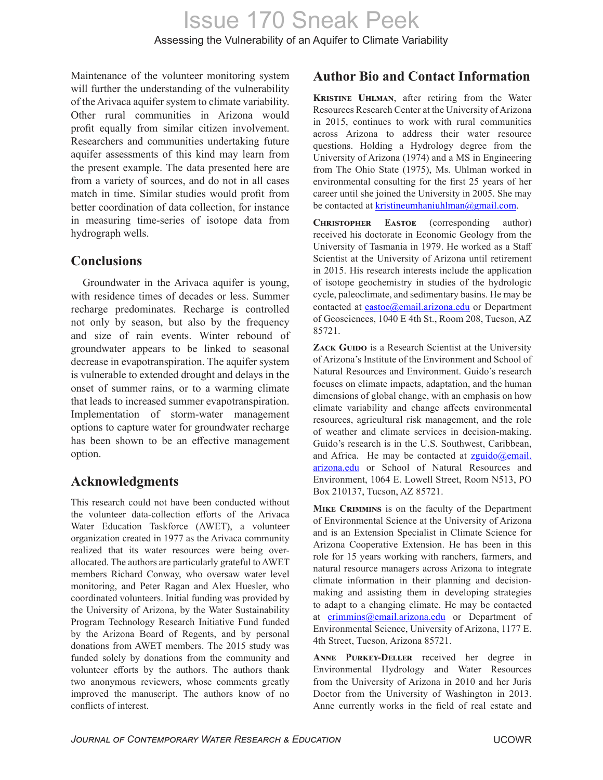Maintenance of the volunteer monitoring system will further the understanding of the vulnerability of the Arivaca aquifer system to climate variability. Other rural communities in Arizona would profit equally from similar citizen involvement. Researchers and communities undertaking future aquifer assessments of this kind may learn from the present example. The data presented here are from a variety of sources, and do not in all cases match in time. Similar studies would profit from better coordination of data collection, for instance in measuring time-series of isotope data from hydrograph wells.

### **Conclusions**

Groundwater in the Arivaca aquifer is young, with residence times of decades or less. Summer recharge predominates. Recharge is controlled not only by season, but also by the frequency and size of rain events. Winter rebound of groundwater appears to be linked to seasonal decrease in evapotranspiration. The aquifer system is vulnerable to extended drought and delays in the onset of summer rains, or to a warming climate that leads to increased summer evapotranspiration. Implementation of storm-water management options to capture water for groundwater recharge has been shown to be an effective management option.

### **Acknowledgments**

This research could not have been conducted without the volunteer data-collection efforts of the Arivaca Water Education Taskforce (AWET), a volunteer organization created in 1977 as the Arivaca community realized that its water resources were being overallocated. The authors are particularly grateful to AWET members Richard Conway, who oversaw water level monitoring, and Peter Ragan and Alex Huesler, who coordinated volunteers. Initial funding was provided by the University of Arizona, by the Water Sustainability Program Technology Research Initiative Fund funded by the Arizona Board of Regents, and by personal donations from AWET members. The 2015 study was funded solely by donations from the community and volunteer efforts by the authors. The authors thank two anonymous reviewers, whose comments greatly improved the manuscript. The authors know of no conflicts of interest.

### **Author Bio and Contact Information**

**Kristine Uhlman**, after retiring from the Water Resources Research Center at the University of Arizona in 2015, continues to work with rural communities across Arizona to address their water resource questions. Holding a Hydrology degree from the University of Arizona (1974) and a MS in Engineering from The Ohio State (1975), Ms. Uhlman worked in environmental consulting for the first 25 years of her career until she joined the University in 2005. She may be contacted at kristineumhaniuhlman@gmail.com.

**Christopher Eastoe** (corresponding author) received his doctorate in Economic Geology from the University of Tasmania in 1979. He worked as a Staff Scientist at the University of Arizona until retirement in 2015. His research interests include the application of isotope geochemistry in studies of the hydrologic cycle, paleoclimate, and sedimentary basins. He may be contacted at eastoe@email.arizona.edu or Department of Geosciences, 1040 E 4th St., Room 208, Tucson, AZ 85721.

ZACK GUIDO is a Research Scientist at the University of Arizona's Institute of the Environment and School of Natural Resources and Environment. Guido's research focuses on climate impacts, adaptation, and the human dimensions of global change, with an emphasis on how climate variability and change affects environmental resources, agricultural risk management, and the role of weather and climate services in decision-making. Guido's research is in the U.S. Southwest, Caribbean, and Africa. He may be contacted at  $zguide@email$ .</u> arizona.edu or School of Natural Resources and Environment, 1064 E. Lowell Street, Room N513, PO Box 210137, Tucson, AZ 85721.

**Mike Crimmins** is on the faculty of the Department of Environmental Science at the University of Arizona and is an Extension Specialist in Climate Science for Arizona Cooperative Extension. He has been in this role for 15 years working with ranchers, farmers, and natural resource managers across Arizona to integrate climate information in their planning and decisionmaking and assisting them in developing strategies to adapt to a changing climate. He may be contacted at crimmins@email.arizona.edu or Department of Environmental Science, University of Arizona, 1177 E. 4th Street, Tucson, Arizona 85721.

**Anne Purkey-Deller** received her degree in Environmental Hydrology and Water Resources from the University of Arizona in 2010 and her Juris Doctor from the University of Washington in 2013. Anne currently works in the field of real estate and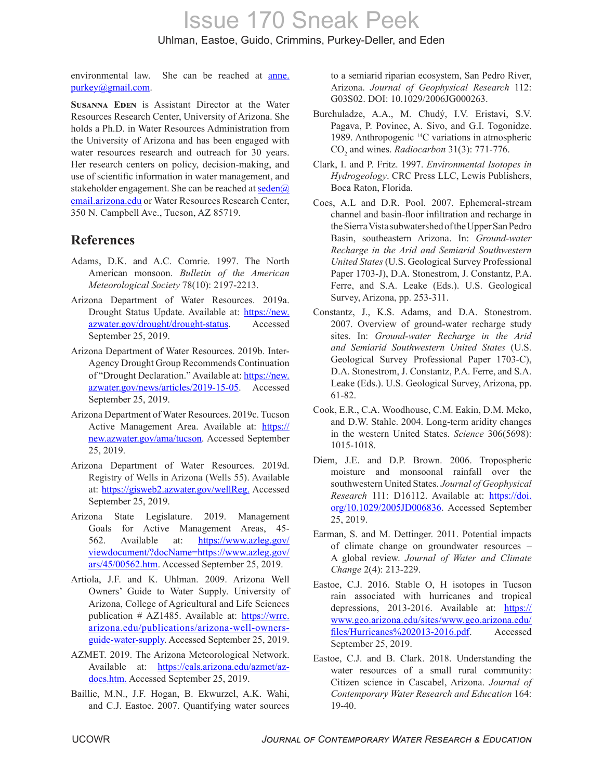environmental law. She can be reached at anne. purkey@gmail.com.

**SUSANNA EDEN** is Assistant Director at the Water Resources Research Center, University of Arizona. She holds a Ph.D. in Water Resources Administration from the University of Arizona and has been engaged with water resources research and outreach for 30 years. Her research centers on policy, decision-making, and use of scientific information in water management, and stakeholder engagement. She can be reached at  $\frac{\text{seden}(a)}{a}$ email.arizona.edu or Water Resources Research Center, 350 N. Campbell Ave., Tucson, AZ 85719.

### **References**

- Adams, D.K. and A.C. Comrie. 1997. The North American monsoon. *Bulletin of the American Meteorological Society* 78(10): 2197-2213.
- Arizona Department of Water Resources. 2019a. Drought Status Update. Available at: https://new. azwater.gov/drought/drought-status. Accessed September 25, 2019.
- Arizona Department of Water Resources. 2019b. Inter-Agency Drought Group Recommends Continuation of "Drought Declaration." Available at: https://new. azwater.gov/news/articles/2019-15-05. Accessed September 25, 2019.
- Arizona Department of Water Resources. 2019c. Tucson Active Management Area. Available at: https:// new.azwater.gov/ama/tucson. Accessed September 25, 2019.
- Arizona Department of Water Resources. 2019d. Registry of Wells in Arizona (Wells 55). Available at: https://gisweb2.azwater.gov/wellReg. Accessed September 25, 2019.
- Arizona State Legislature. 2019. Management Goals for Active Management Areas, 45- 562. Available at: https://www.azleg.gov/ viewdocument/?docName=https://www.azleg.gov/ ars/45/00562.htm. Accessed September 25, 2019.
- Artiola, J.F. and K. Uhlman. 2009. Arizona Well Owners' Guide to Water Supply. University of Arizona, College of Agricultural and Life Sciences publication # AZ1485. Available at: https://wrrc. arizona.edu/publications/arizona-well-ownersguide-water-supply. Accessed September 25, 2019.
- AZMET. 2019. The Arizona Meteorological Network. Available at: https://cals.arizona.edu/azmet/azdocs.htm. Accessed September 25, 2019.
- Baillie, M.N., J.F. Hogan, B. Ekwurzel, A.K. Wahi, and C.J. Eastoe. 2007. Quantifying water sources

to a semiarid riparian ecosystem, San Pedro River, Arizona. *Journal of Geophysical Research* 112: G03S02. DOI: 10.1029/2006JG000263.

- Burchuladze, A.A., M. Chudý, I.V. Eristavi, S.V. Pagava, P. Povinec, A. Sivo, and G.I. Togonidze. 1989. Anthropogenic <sup>14</sup>C variations in atmospheric  $CO<sub>2</sub>$  and wines. *Radiocarbon* 31(3): 771-776.
- Clark, I. and P. Fritz. 1997. *Environmental Isotopes in Hydrogeology*. CRC Press LLC, Lewis Publishers, Boca Raton, Florida.
- Coes, A.L and D.R. Pool. 2007. Ephemeral-stream channel and basin-floor infiltration and recharge in the Sierra Vista subwatershed of the Upper San Pedro Basin, southeastern Arizona. In: *Ground-water Recharge in the Arid and Semiarid Southwestern United States* (U.S. Geological Survey Professional Paper 1703-J), D.A. Stonestrom, J. Constantz, P.A. Ferre, and S.A. Leake (Eds.). U.S. Geological Survey, Arizona, pp. 253-311.
- Constantz, J., K.S. Adams, and D.A. Stonestrom. 2007. Overview of ground-water recharge study sites. In: *Ground-water Recharge in the Arid and Semiarid Southwestern United States* (U.S. Geological Survey Professional Paper 1703-C), D.A. Stonestrom, J. Constantz, P.A. Ferre, and S.A. Leake (Eds.). U.S. Geological Survey, Arizona, pp. 61-82.
- Cook, E.R., C.A. Woodhouse, C.M. Eakin, D.M. Meko, and D.W. Stahle. 2004. Long-term aridity changes in the western United States. *Science* 306(5698): 1015-1018.
- Diem, J.E. and D.P. Brown. 2006. Tropospheric moisture and monsoonal rainfall over the southwestern United States. *Journal of Geophysical Research* 111: D16112. Available at: https://doi. org/10.1029/2005JD006836. Accessed September 25, 2019.
- Earman, S. and M. Dettinger. 2011. Potential impacts of climate change on groundwater resources – A global review. *Journal of Water and Climate Change* 2(4): 213-229.
- Eastoe, C.J. 2016. Stable O, H isotopes in Tucson rain associated with hurricanes and tropical depressions, 2013-2016. Available at: https:// www.geo.arizona.edu/sites/www.geo.arizona.edu/ files/Hurricanes%202013-2016.pdf. Accessed September 25, 2019.
- Eastoe, C.J. and B. Clark. 2018. Understanding the water resources of a small rural community: Citizen science in Cascabel, Arizona. *Journal of Contemporary Water Research and Education* 164: 19-40.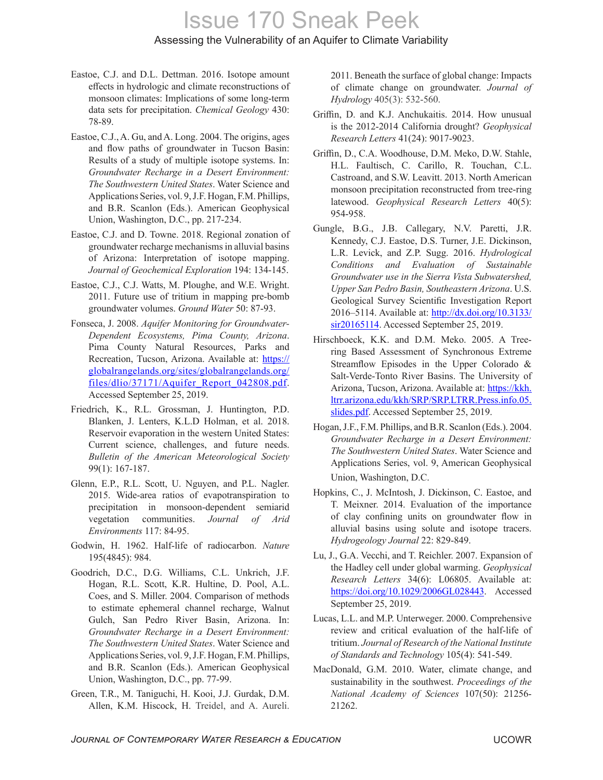### Assessing the Vulnerability of an Aquifer to Climate Variability

- Eastoe, C.J. and D.L. Dettman. 2016. Isotope amount effects in hydrologic and climate reconstructions of monsoon climates: Implications of some long-term data sets for precipitation. *Chemical Geology* 430: 78-89.
- Eastoe, C.J., A. Gu, and A. Long. 2004. The origins, ages and flow paths of groundwater in Tucson Basin: Results of a study of multiple isotope systems. In: *Groundwater Recharge in a Desert Environment: The Southwestern United States*. Water Science and Applications Series, vol. 9, J.F. Hogan, F.M. Phillips, and B.R. Scanlon (Eds.). American Geophysical Union, Washington, D.C., pp. 217-234.
- Eastoe, C.J. and D. Towne. 2018. Regional zonation of groundwater recharge mechanisms in alluvial basins of Arizona: Interpretation of isotope mapping. *Journal of Geochemical Exploration* 194: 134-145.
- Eastoe, C.J., C.J. Watts, M. Ploughe, and W.E. Wright. 2011. Future use of tritium in mapping pre-bomb groundwater volumes. *Ground Water* 50: 87-93.
- Fonseca, J. 2008. *Aquifer Monitoring for Groundwater-Dependent Ecosystems, Pima County, Arizona*. Pima County Natural Resources, Parks and Recreation, Tucson, Arizona. Available at: https:// globalrangelands.org/sites/globalrangelands.org/ files/dlio/37171/Aquifer\_Report\_042808.pdf. Accessed September 25, 2019.
- Friedrich, K., R.L. Grossman, J. Huntington, P.D. Blanken, J. Lenters, K.L.D Holman, et al. 2018. Reservoir evaporation in the western United States: Current science, challenges, and future needs. *Bulletin of the American Meteorological Society* 99(1): 167-187.
- Glenn, E.P., R.L. Scott, U. Nguyen, and P.L. Nagler. 2015. Wide-area ratios of evapotranspiration to precipitation in monsoon-dependent semiarid vegetation communities. *Journal of Arid Environments* 117: 84-95.
- Godwin, H. 1962. Half-life of radiocarbon. *Nature* 195(4845): 984.
- Goodrich, D.C., D.G. Williams, C.L. Unkrich, J.F. Hogan, R.L. Scott, K.R. Hultine, D. Pool, A.L. Coes, and S. Miller. 2004. Comparison of methods to estimate ephemeral channel recharge, Walnut Gulch, San Pedro River Basin, Arizona. In: *Groundwater Recharge in a Desert Environment: The Southwestern United States*. Water Science and Applications Series, vol. 9, J.F. Hogan, F.M. Phillips, and B.R. Scanlon (Eds.). American Geophysical Union, Washington, D.C., pp. 77-99.
- Green, T.R., M. Taniguchi, H. Kooi, J.J. Gurdak, D.M. Allen, K.M. Hiscock, H. Treidel, and A. Aureli.

2011. Beneath the surface of global change: Impacts of climate change on groundwater. *Journal of Hydrology* 405(3): 532-560.

- Griffin, D. and K.J. Anchukaitis. 2014. How unusual is the 2012-2014 California drought? *Geophysical Research Letters* 41(24): 9017-9023.
- Griffin, D., C.A. Woodhouse, D.M. Meko, D.W. Stahle, H.L. Faultisch, C. Carillo, R. Touchan, C.L. Castroand, and S.W. Leavitt. 2013. North American monsoon precipitation reconstructed from tree-ring latewood. *Geophysical Research Letters* 40(5): 954-958.
- Gungle, B.G., J.B. Callegary, N.V. Paretti, J.R. Kennedy, C.J. Eastoe, D.S. Turner, J.E. Dickinson, L.R. Levick, and Z.P. Sugg. 2016. *Hydrological Conditions and Evaluation of Sustainable Groundwater use in the Sierra Vista Subwatershed, Upper San Pedro Basin, Southeastern Arizona*. U.S. Geological Survey Scientific Investigation Report 2016–5114. Available at: http://dx.doi.org/10.3133/ sir20165114. Accessed September 25, 2019.
- Hirschboeck, K.K. and D.M. Meko. 2005. A Treering Based Assessment of Synchronous Extreme Streamflow Episodes in the Upper Colorado & Salt-Verde-Tonto River Basins. The University of Arizona, Tucson, Arizona. Available at: https://kkh. ltrr.arizona.edu/kkh/SRP/SRP.LTRR.Press.info.05. slides.pdf. Accessed September 25, 2019.
- Hogan, J.F., F.M. Phillips, and B.R. Scanlon (Eds.). 2004. *Groundwater Recharge in a Desert Environment: The Southwestern United States*. Water Science and Applications Series, vol. 9, American Geophysical Union, Washington, D.C.
- Hopkins, C., J. McIntosh, J. Dickinson, C. Eastoe, and T. Meixner. 2014. Evaluation of the importance of clay confining units on groundwater flow in alluvial basins using solute and isotope tracers. *Hydrogeology Journal* 22: 829-849.
- Lu, J., G.A. Vecchi, and T. Reichler. 2007. Expansion of the Hadley cell under global warming. *Geophysical Research Letters* 34(6): L06805. Available at: https://doi.org/10.1029/2006GL028443. Accessed September 25, 2019.
- Lucas, L.L. and M.P. Unterweger. 2000. Comprehensive review and critical evaluation of the half-life of tritium. *Journal of Research of the National Institute of Standards and Technology* 105(4): 541-549.
- MacDonald, G.M. 2010. Water, climate change, and sustainability in the southwest. *Proceedings of the National Academy of Sciences* 107(50): 21256- 21262.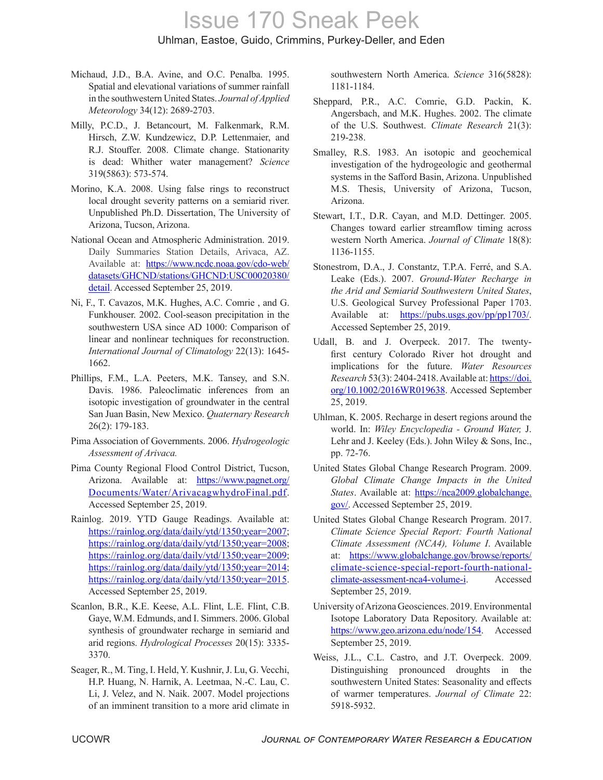### Uhlman, Eastoe, Guido, Crimmins, Purkey-Deller, and Eden

- Michaud, J.D., B.A. Avine, and O.C. Penalba. 1995. Spatial and elevational variations of summer rainfall in the southwestern United States. *Journal of Applied Meteorology* 34(12): 2689-2703.
- Milly, P.C.D., J. Betancourt, M. Falkenmark, R.M. Hirsch, Z.W. Kundzewicz, D.P. Lettenmaier, and R.J. Stouffer. 2008. Climate change. Stationarity is dead: Whither water management? *Science* 319(5863): 573-574.
- Morino, K.A. 2008. Using false rings to reconstruct local drought severity patterns on a semiarid river. Unpublished Ph.D. Dissertation, The University of Arizona, Tucson, Arizona.
- National Ocean and Atmospheric Administration. 2019. Daily Summaries Station Details, Arivaca, AZ. Available at: https://www.ncdc.noaa.gov/cdo-web/ datasets/GHCND/stations/GHCND:USC00020380/ detail. Accessed September 25, 2019.
- Ni, F., T. Cavazos, M.K. Hughes, A.C. Comrie , and G. Funkhouser. 2002. Cool-season precipitation in the southwestern USA since AD 1000: Comparison of linear and nonlinear techniques for reconstruction. *International Journal of Climatology* 22(13): 1645- 1662.
- Phillips, F.M., L.A. Peeters, M.K. Tansey, and S.N. Davis. 1986. Paleoclimatic inferences from an isotopic investigation of groundwater in the central San Juan Basin, New Mexico. *Quaternary Research* 26(2): 179-183.
- Pima Association of Governments. 2006. *Hydrogeologic Assessment of Arivaca.*
- Pima County Regional Flood Control District, Tucson, Arizona. Available at: https://www.pagnet.org/ Documents/Water/ArivacagwhydroFinal.pdf. Accessed September 25, 2019.
- Rainlog. 2019. YTD Gauge Readings. Available at: https://rainlog.org/data/daily/ytd/1350;year=2007; https://rainlog.org/data/daily/ytd/1350;year=2008; https://rainlog.org/data/daily/ytd/1350;year=2009; https://rainlog.org/data/daily/ytd/1350;year=2014; https://rainlog.org/data/daily/ytd/1350;year=2015. Accessed September 25, 2019.
- Scanlon, B.R., K.E. Keese, A.L. Flint, L.E. Flint, C.B. Gaye, W.M. Edmunds, and I. Simmers. 2006. Global synthesis of groundwater recharge in semiarid and arid regions. *Hydrological Processes* 20(15): 3335- 3370.
- Seager, R., M. Ting, I. Held, Y. Kushnir, J. Lu, G. Vecchi, H.P. Huang, N. Harnik, A. Leetmaa, N.-C. Lau, C. Li, J. Velez, and N. Naik. 2007. Model projections of an imminent transition to a more arid climate in

southwestern North America. *Science* 316(5828): 1181-1184.

- Sheppard, P.R., A.C. Comrie, G.D. Packin, K. Angersbach, and M.K. Hughes. 2002. The climate of the U.S. Southwest. *Climate Research* 21(3): 219-238.
- Smalley, R.S. 1983. An isotopic and geochemical investigation of the hydrogeologic and geothermal systems in the Safford Basin, Arizona. Unpublished M.S. Thesis, University of Arizona, Tucson, Arizona.
- Stewart, I.T., D.R. Cayan, and M.D. Dettinger. 2005. Changes toward earlier streamflow timing across western North America. *Journal of Climate* 18(8): 1136-1155.
- Stonestrom, D.A., J. Constantz, T.P.A. Ferré, and S.A. Leake (Eds.). 2007. *Ground-Water Recharge in the Arid and Semiarid Southwestern United States*, U.S. Geological Survey Professional Paper 1703. Available at: https://pubs.usgs.gov/pp/pp1703/. Accessed September 25, 2019.
- Udall, B. and J. Overpeck. 2017. The twentyfirst century Colorado River hot drought and implications for the future. *Water Resources Research* 53(3): 2404-2418. Available at: https://doi. org/10.1002/2016WR019638. Accessed September 25, 2019.
- Uhlman, K. 2005. Recharge in desert regions around the world. In: *Wiley Encyclopedia - Ground Water,* J. Lehr and J. Keeley (Eds.). John Wiley & Sons, Inc., pp. 72-76.
- United States Global Change Research Program. 2009. *Global Climate Change Impacts in the United*  States. Available at: https://nca2009.globalchange. gov/. Accessed September 25, 2019.
- United States Global Change Research Program. 2017. *Climate Science Special Report: Fourth National Climate Assessment (NCA4), Volume I*. Available at: https://www.globalchange.gov/browse/reports/ climate-science-special-report-fourth-nationalclimate-assessment-nca4-volume-i. Accessed September 25, 2019.
- University of Arizona Geosciences. 2019. Environmental Isotope Laboratory Data Repository. Available at: https://www.geo.arizona.edu/node/154. Accessed September 25, 2019.
- Weiss, J.L., C.L. Castro, and J.T. Overpeck. 2009. Distinguishing pronounced droughts in the southwestern United States: Seasonality and effects of warmer temperatures. *Journal of Climate* 22: 5918-5932.